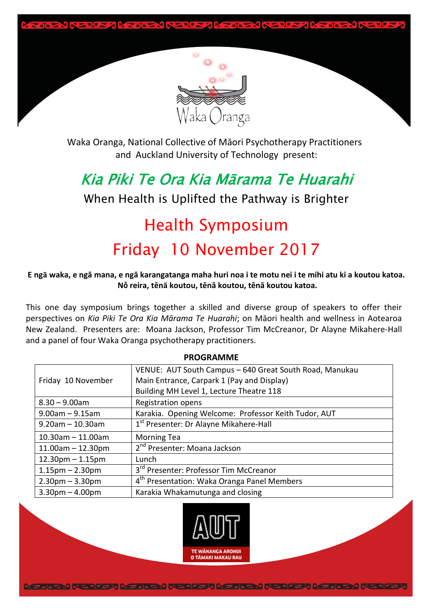



Waka Oranga, National Collective of Māori Psychotherapy Practitioners and Auckland University of Technology present:

## Kia Piki Te Ora Kia Mārama Te Huarahi

When Health is Uplifted the Pathway is Brighter

# Health Symposium Friday 10 November 2017

#### **E ngā waka, e ngā mana, e ngā karangatanga maha huri noa i te motu nei i te mihi atu ki a koutou katoa. Nō reira, tēnā koutou, tēnā koutou, tēnā koutou katoa.**

This one day symposium brings together a skilled and diverse group of speakers to offer their perspectives on *Kia Piki Te Ora Kia Mārama Te Huarahi*; on Māori health and wellness in Aotearoa New Zealand. Presenters are: Moana Jackson, Professor Tim McCreanor, Dr Alayne Mikahere-Hall and a panel of four Waka Oranga psychotherapy practitioners.

**PROGRAMME**

| VENUE: AUT South Campus - 640 Great South Road, Manukau |  |
|---------------------------------------------------------|--|
| Main Entrance, Carpark 1 (Pay and Display)              |  |
| Building MH Level 1, Lecture Theatre 118                |  |
| <b>Registration opens</b>                               |  |
| Karakia. Opening Welcome: Professor Keith Tudor, AUT    |  |
| 1 <sup>st</sup> Presenter: Dr Alayne Mikahere-Hall      |  |
| <b>Morning Tea</b>                                      |  |
| 2 <sup>nd</sup> Presenter: Moana Jackson                |  |
| Lunch                                                   |  |
| 3 <sup>rd</sup> Presenter: Professor Tim McCreanor      |  |
| 4 <sup>th</sup> Presentation: Waka Oranga Panel Members |  |
| Karakia Whakamutunga and closing                        |  |
|                                                         |  |

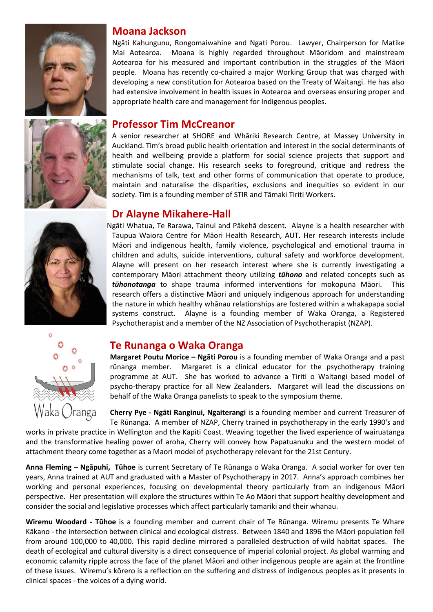



### **Moana Jackson**

Ngāti Kahungunu, Rongomaiwahine and Ngati Porou. Lawyer, Chairperson for Matike Mai Aotearoa. Moana is highly regarded throughout Māoridom and mainstream Aotearoa for his measured and important contribution in the struggles of the Māori people. Moana has recently co-chaired a major Working Group that was charged with developing a new constitution for Aotearoa based on the Treaty of Waitangi. He has also had extensive involvement in health issues in Aotearoa and overseas ensuring proper and appropriate health care and management for Indigenous peoples.

### **Professor Tim McCreanor**

A senior researcher at SHORE and Whāriki Research Centre, at Massey University in Auckland. Tim's broad public health orientation and interest in the social determinants of health and wellbeing provide a platform for social science projects that support and stimulate social change. His research seeks to foreground, critique and redress the mechanisms of talk, text and other forms of communication that operate to produce, maintain and naturalise the disparities, exclusions and inequities so evident in our society. Tim is a founding member of STIR and Tāmaki Tiriti Workers.

### **Dr Alayne Mikahere-Hall**

Ngāti Whatua, Te Rarawa, Tainui and Pākehā descent. Alayne is a health researcher with Taupua Waiora Centre for Māori Health Research, AUT. Her research interests include Māori and indigenous health, family violence, psychological and emotional trauma in children and adults, suicide interventions, cultural safety and workforce development. Alayne will present on her research interest where she is currently investigating a contemporary Māori attachment theory utilizing *tūhono* and related concepts such as *tūhonotanga* to shape trauma informed interventions for mokopuna Māori. This research offers a distinctive Māori and uniquely indigenous approach for understanding the nature in which healthy whānau relationships are fostered within a whakapapa social systems construct. Alayne is a founding member of Waka Oranga, a Registered Psychotherapist and a member of the NZ Association of Psychotherapist (NZAP).



### **Te Runanga o Waka Oranga**

**Margaret Poutu Morice – Ngāti Porou** is a founding member of Waka Oranga and a past rūnanga member. Margaret is a clinical educator for the psychotherapy training programme at AUT. She has worked to advance a Tiriti o Waitangi based model of psycho-therapy practice for all New Zealanders. Margaret will lead the discussions on behalf of the Waka Oranga panelists to speak to the symposium theme.

**Cherry Pye - Ngāti Ranginui, Ngaiterangi** is a founding member and current Treasurer of Te Rūnanga. A member of NZAP, Cherry trained in psychotherapy in the early 1990's and

works in private practice in Wellington and the Kapiti Coast. Weaving together the lived experience of wairuatanga and the transformative healing power of aroha, Cherry will convey how Papatuanuku and the western model of attachment theory come together as a Maori model of psychotherapy relevant for the 21st Century.

**Anna Fleming – Ngāpuhi, Tūhoe** is current Secretary of Te Rūnanga o Waka Oranga. A social worker for over ten years, Anna trained at AUT and graduated with a Master of Psychotherapy in 2017. Anna's approach combines her working and personal experiences, focusing on developmental theory particularly from an indigenous Māori perspective. Her presentation will explore the structures within Te Ao Māori that support healthy development and consider the social and legislative processes which affect particularly tamariki and their whanau.

**Wiremu Woodard - Tūhoe** is a founding member and current chair of Te Rūnanga. Wiremu presents Te Whare Kākano - the intersection between clinical and ecological distress. Between 1840 and 1896 the Māori population fell from around 100,000 to 40,000. This rapid decline mirrored a paralleled destruction of wild habitat spaces. The death of ecological and cultural diversity is a direct consequence of imperial colonial project. As global warming and economic calamity ripple across the face of the planet Māori and other indigenous people are again at the frontline of these issues. Wiremu's kōrero is a reflection on the suffering and distress of indigenous peoples as it presents in clinical spaces - the voices of a dying world.